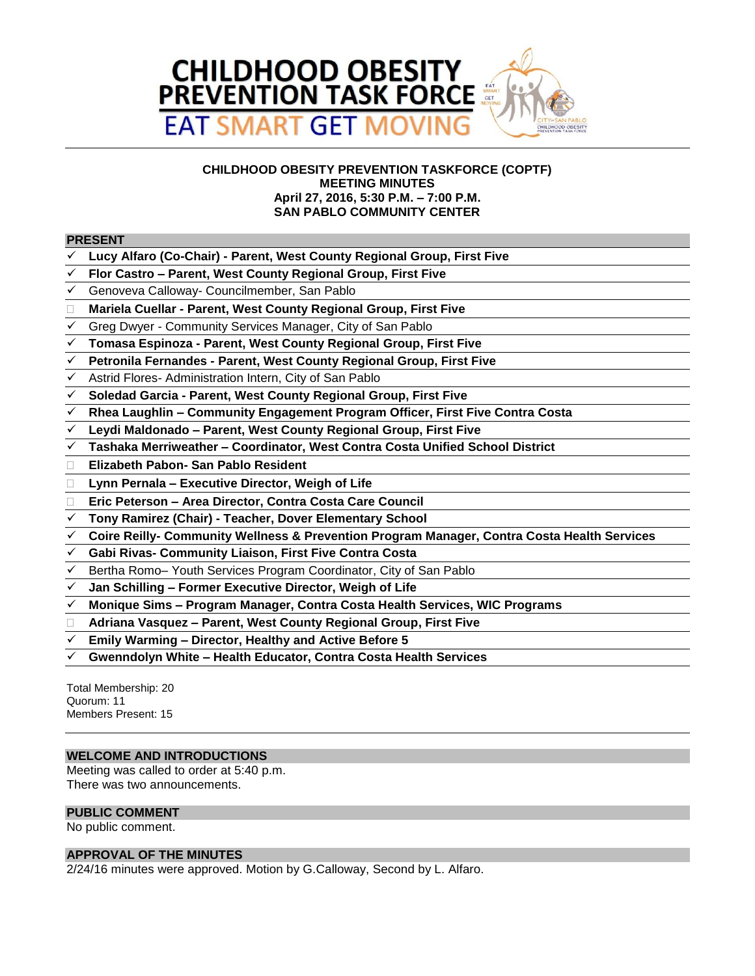

## **CHILDHOOD OBESITY PREVENTION TASKFORCE (COPTF) MEETING MINUTES April 27, 2016, 5:30 P.M. – 7:00 P.M. SAN PABLO COMMUNITY CENTER**

## **PRESENT**

- **Lucy Alfaro (Co-Chair) - Parent, West County Regional Group, First Five**
- **Flor Castro – Parent, West County Regional Group, First Five**
- Genoveva Calloway- Councilmember, San Pablo
- **Mariela Cuellar - Parent, West County Regional Group, First Five**
- Greg Dwyer Community Services Manager, City of San Pablo
- **Tomasa Espinoza - Parent, West County Regional Group, First Five**
- **Petronila Fernandes - Parent, West County Regional Group, First Five**
- Astrid Flores- Administration Intern, City of San Pablo
- **Soledad Garcia - Parent, West County Regional Group, First Five**
- **Rhea Laughlin – Community Engagement Program Officer, First Five Contra Costa**
- **Leydi Maldonado – Parent, West County Regional Group, First Five**
- **Tashaka Merriweather – Coordinator, West Contra Costa Unified School District**
- **Elizabeth Pabon- San Pablo Resident**
- **Lynn Pernala – Executive Director, Weigh of Life**
- **Eric Peterson – Area Director, Contra Costa Care Council**
- **Tony Ramirez (Chair) - Teacher, Dover Elementary School**
- **Coire Reilly- Community Wellness & Prevention Program Manager, Contra Costa Health Services**
- **Gabi Rivas- Community Liaison, First Five Contra Costa**
- Bertha Romo– Youth Services Program Coordinator, City of San Pablo
- **Jan Schilling – Former Executive Director, Weigh of Life**
- **Monique Sims – Program Manager, Contra Costa Health Services, WIC Programs**
- **Adriana Vasquez – Parent, West County Regional Group, First Five**
- **Emily Warming – Director, Healthy and Active Before 5**
- **Gwenndolyn White – Health Educator, Contra Costa Health Services**

Total Membership: 20 Quorum: 11 Members Present: 15

## **WELCOME AND INTRODUCTIONS**

Meeting was called to order at 5:40 p.m. There was two announcements.

#### **PUBLIC COMMENT**

No public comment.

#### **APPROVAL OF THE MINUTES**

2/24/16 minutes were approved. Motion by G.Calloway, Second by L. Alfaro.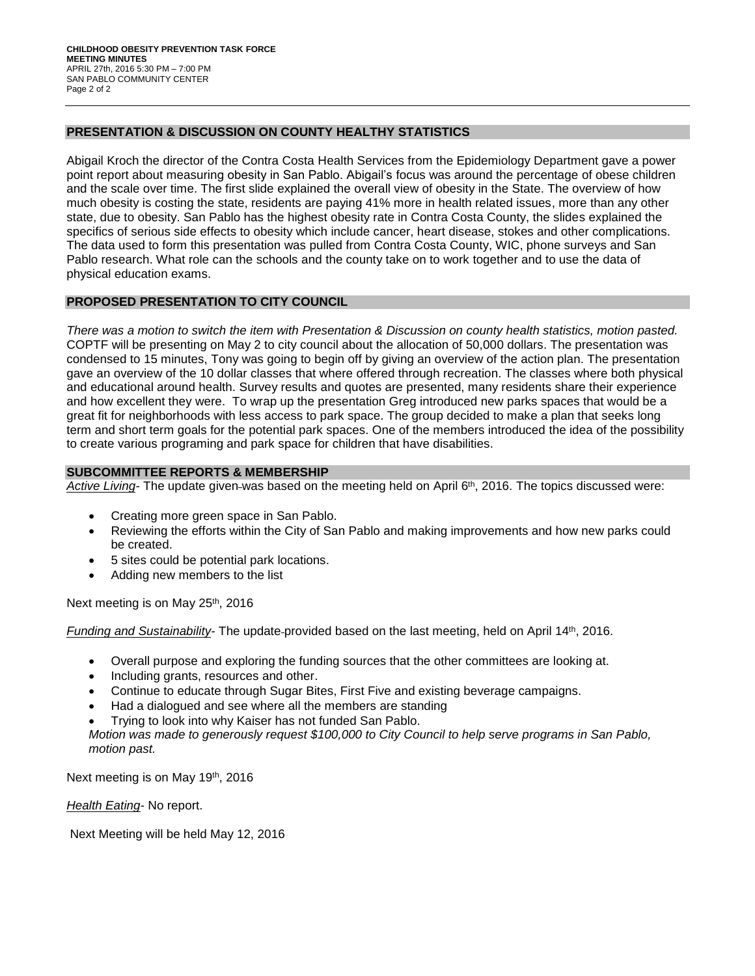#### **PRESENTATION & DISCUSSION ON COUNTY HEALTHY STATISTICS**

Abigail Kroch the director of the Contra Costa Health Services from the Epidemiology Department gave a power point report about measuring obesity in San Pablo. Abigail's focus was around the percentage of obese children and the scale over time. The first slide explained the overall view of obesity in the State. The overview of how much obesity is costing the state, residents are paying 41% more in health related issues, more than any other state, due to obesity. San Pablo has the highest obesity rate in Contra Costa County, the slides explained the specifics of serious side effects to obesity which include cancer, heart disease, stokes and other complications. The data used to form this presentation was pulled from Contra Costa County, WIC, phone surveys and San Pablo research. What role can the schools and the county take on to work together and to use the data of physical education exams.

## **PROPOSED PRESENTATION TO CITY COUNCIL**

*There was a motion to switch the item with Presentation & Discussion on county health statistics, motion pasted.*  COPTF will be presenting on May 2 to city council about the allocation of 50,000 dollars. The presentation was condensed to 15 minutes, Tony was going to begin off by giving an overview of the action plan. The presentation gave an overview of the 10 dollar classes that where offered through recreation. The classes where both physical and educational around health. Survey results and quotes are presented, many residents share their experience and how excellent they were. To wrap up the presentation Greg introduced new parks spaces that would be a great fit for neighborhoods with less access to park space. The group decided to make a plan that seeks long term and short term goals for the potential park spaces. One of the members introduced the idea of the possibility to create various programing and park space for children that have disabilities.

### **SUBCOMMITTEE REPORTS & MEMBERSHIP**

Active Living- The update given-was based on the meeting held on April 6<sup>th</sup>, 2016. The topics discussed were:

- Creating more green space in San Pablo.
- Reviewing the efforts within the City of San Pablo and making improvements and how new parks could be created.
- 5 sites could be potential park locations.
- Adding new members to the list

Next meeting is on May 25<sup>th</sup>, 2016

*Funding and Sustainability-* The update-provided based on the last meeting, held on April 14<sup>th</sup>, 2016.

- Overall purpose and exploring the funding sources that the other committees are looking at.
- Including grants, resources and other.
- Continue to educate through Sugar Bites, First Five and existing beverage campaigns.
- Had a dialogued and see where all the members are standing
- Trying to look into why Kaiser has not funded San Pablo.

*Motion was made to generously request \$100,000 to City Council to help serve programs in San Pablo, motion past.*

Next meeting is on May 19th, 2016

*Health Eating-* No report.

Next Meeting will be held May 12, 2016